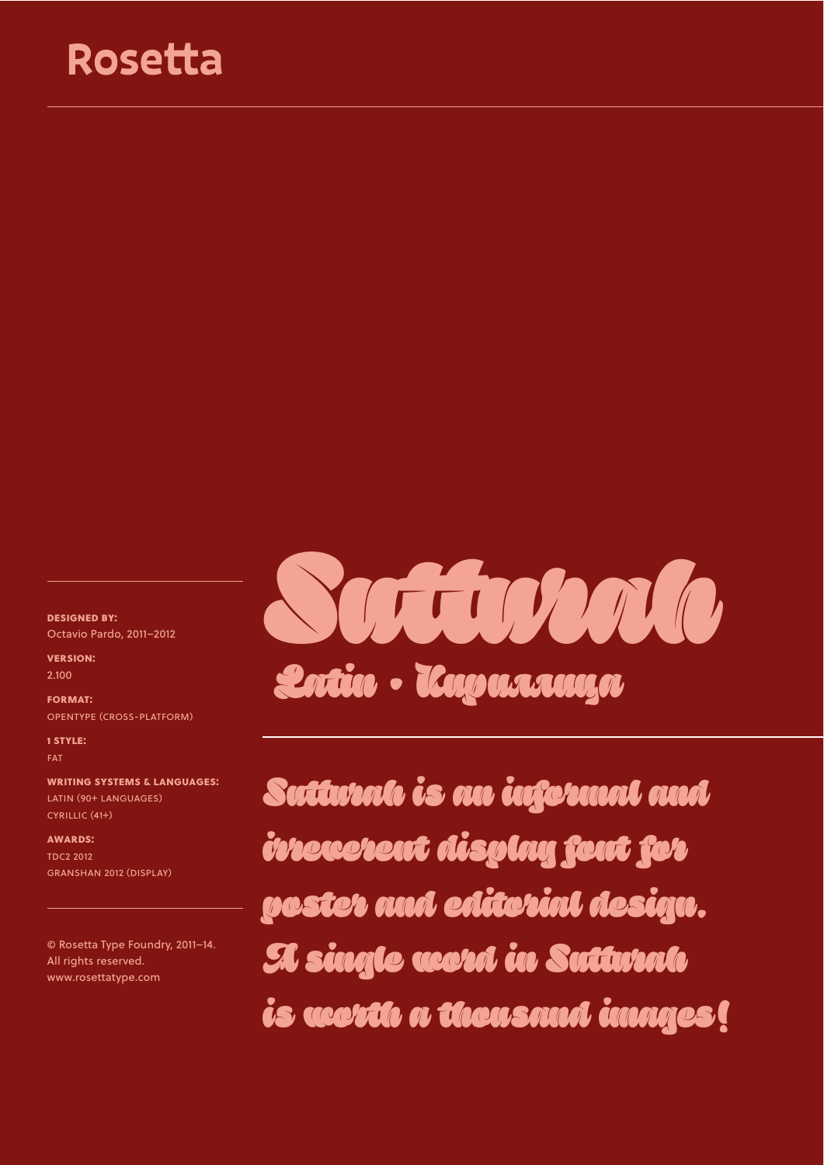## Rosetta

**designed by:** Octavio Pardo, 2011–2012

**version:** 2.100

**format:** opentype (cross-platform)

**1 style: FAT** 

**writing systems & languages:** latin (90+ languages) cyrillic (41+)

**awards:** tdc2 2012 GRANSHAN 2012 (DISPLAY)

© Roseta Type Foundry, 2011–14. All rights reserved. www.rosetatype.com



Suttwah is an informal and irreverent display font for poster and editorial design. A single word in Suturah is worth a thousand images!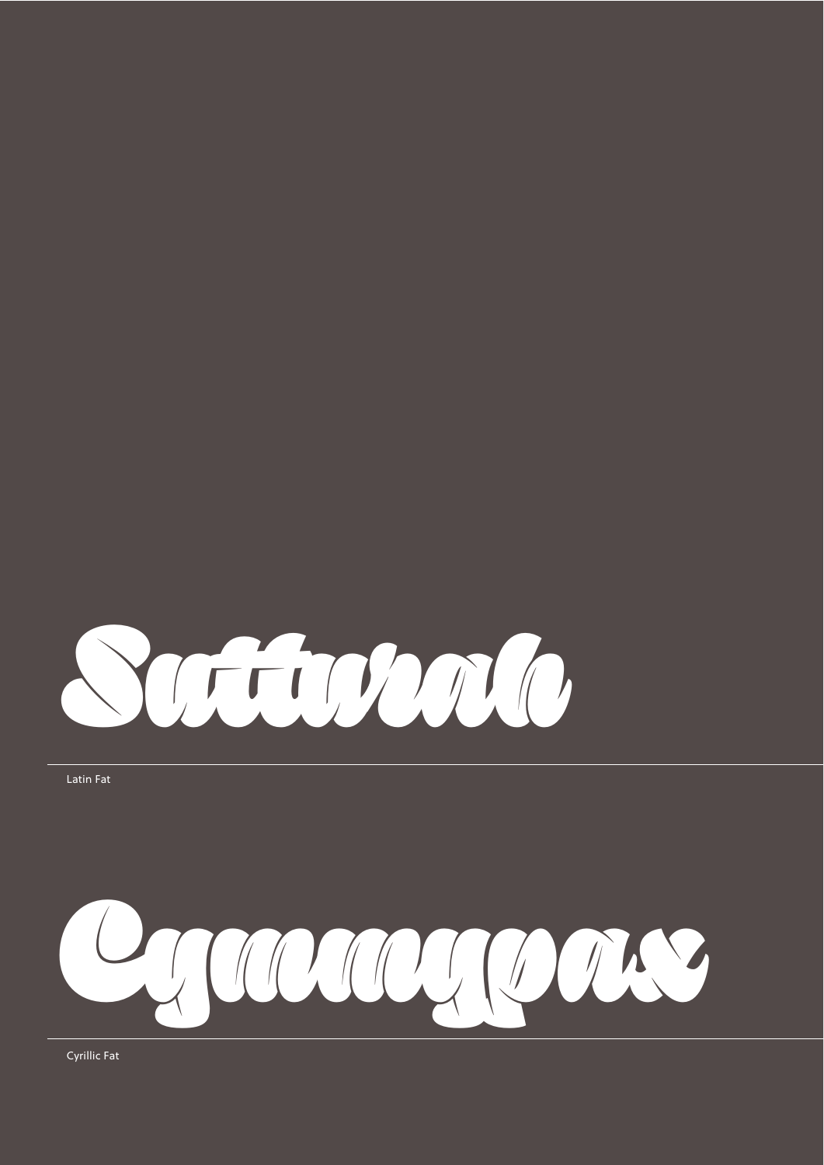

Latin Fat



Cyrillic Fat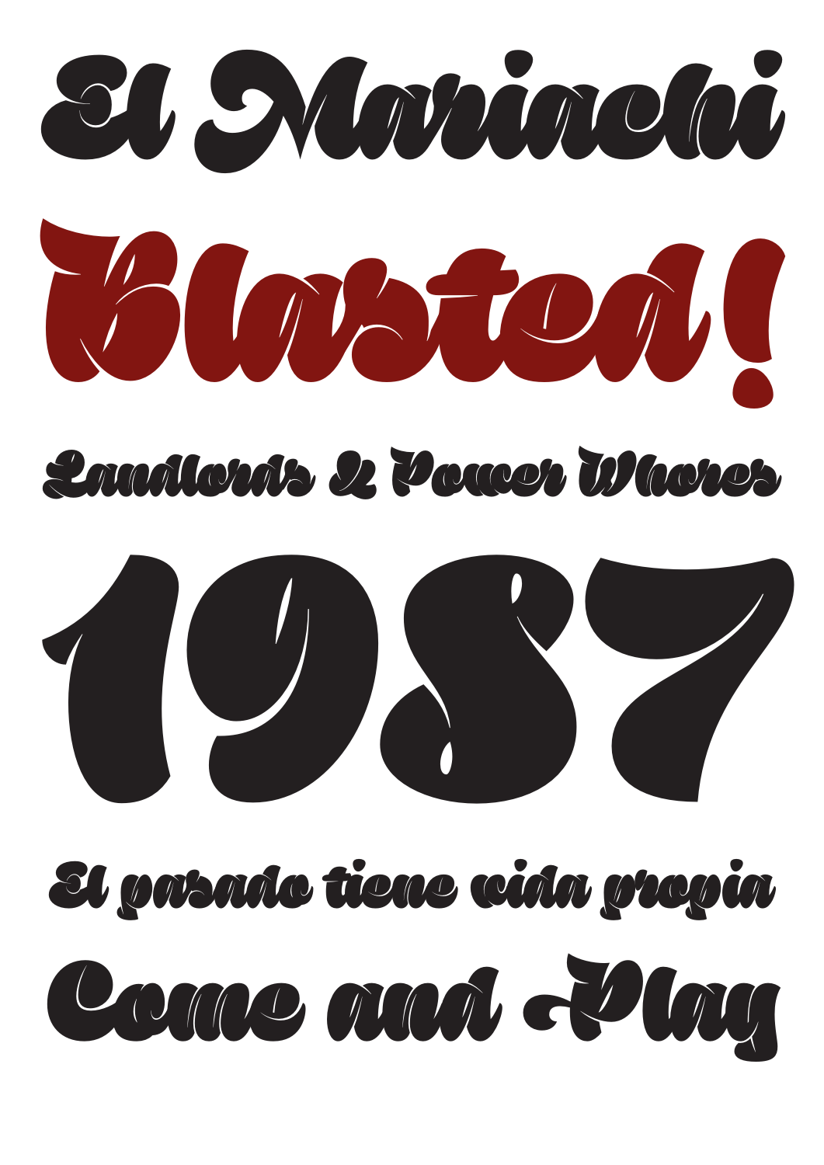

## Landlonk 2 Power D'hores



# El patado tiene cida prepia Como and de lag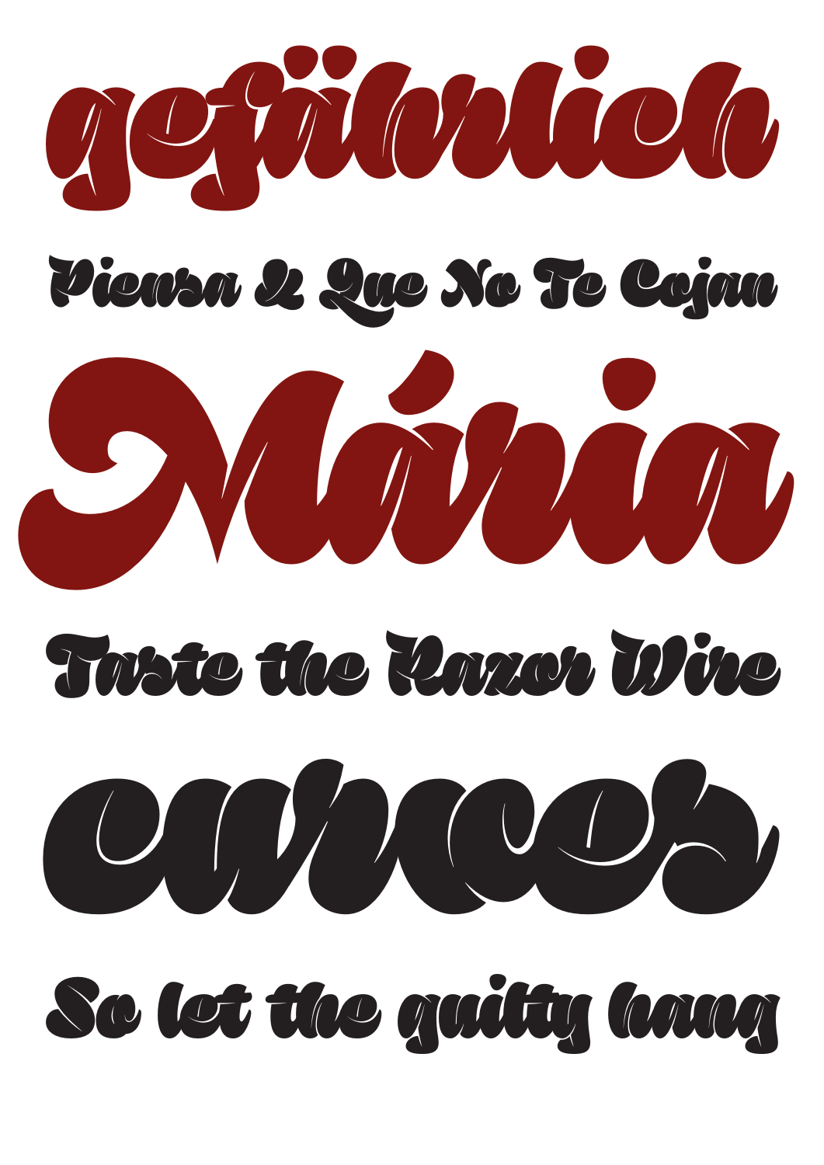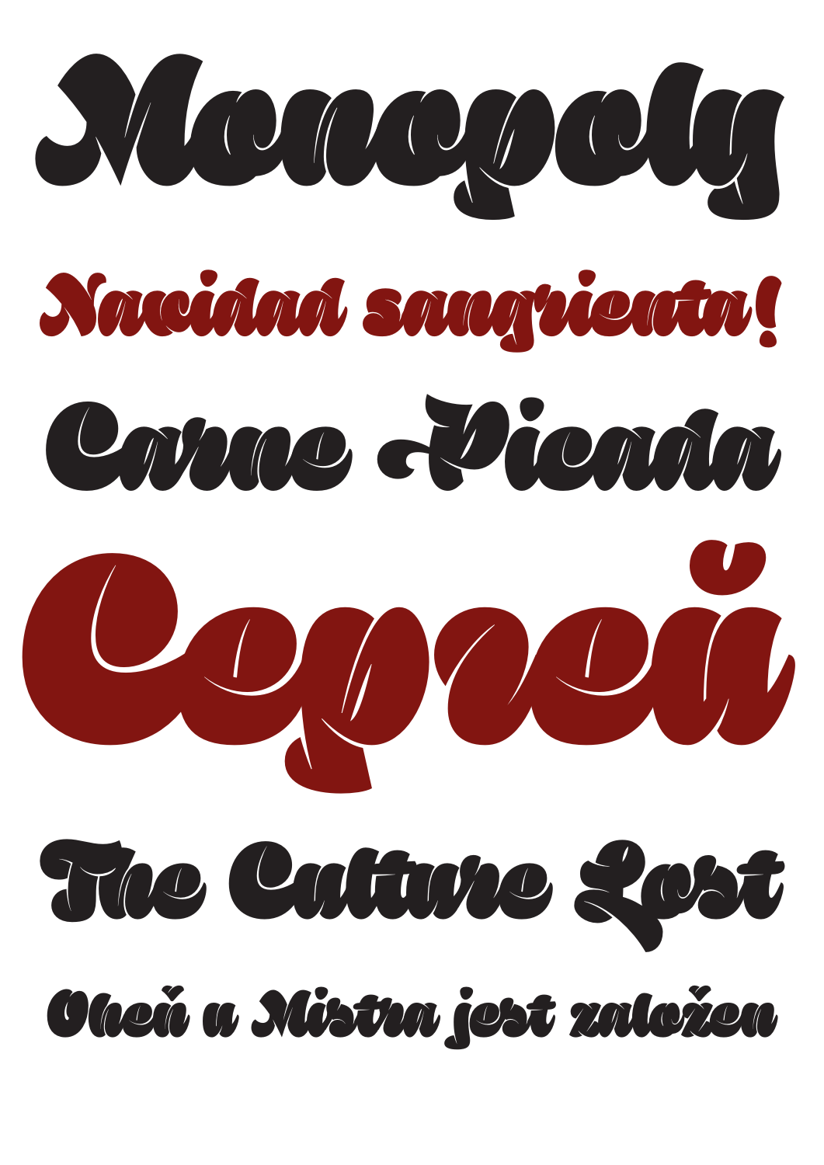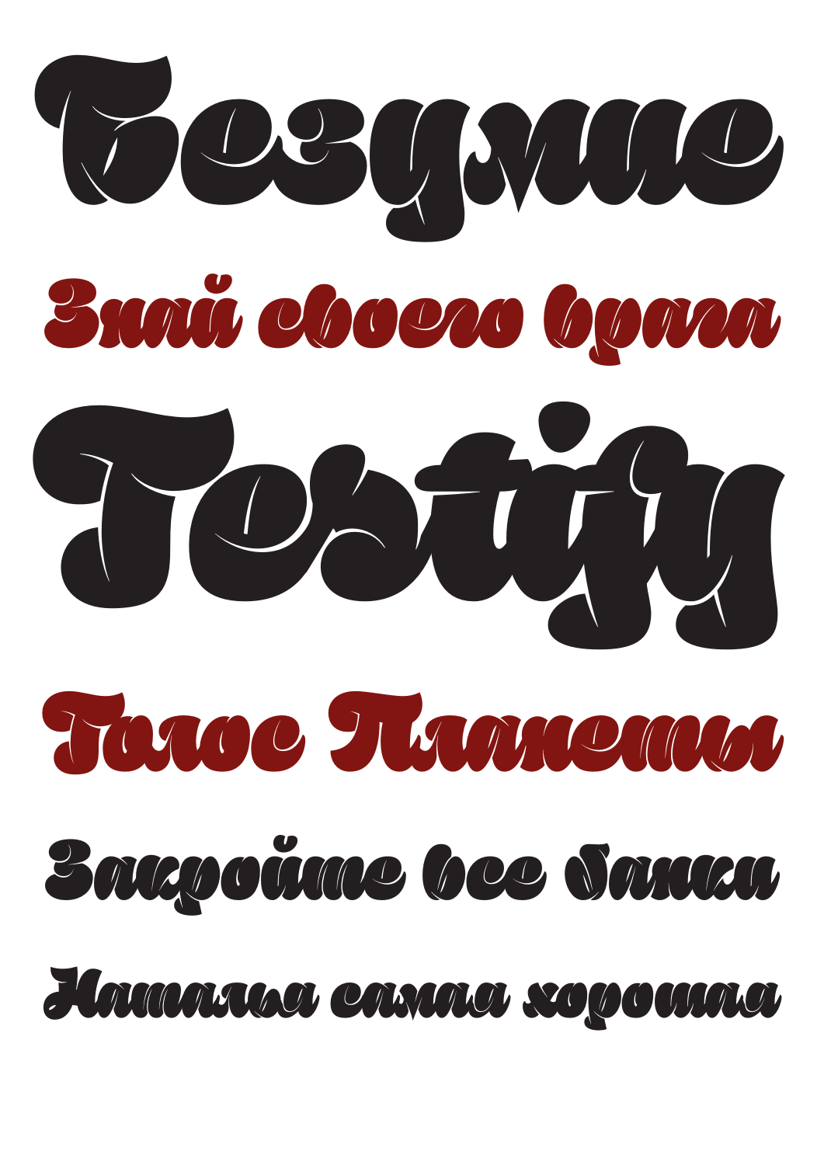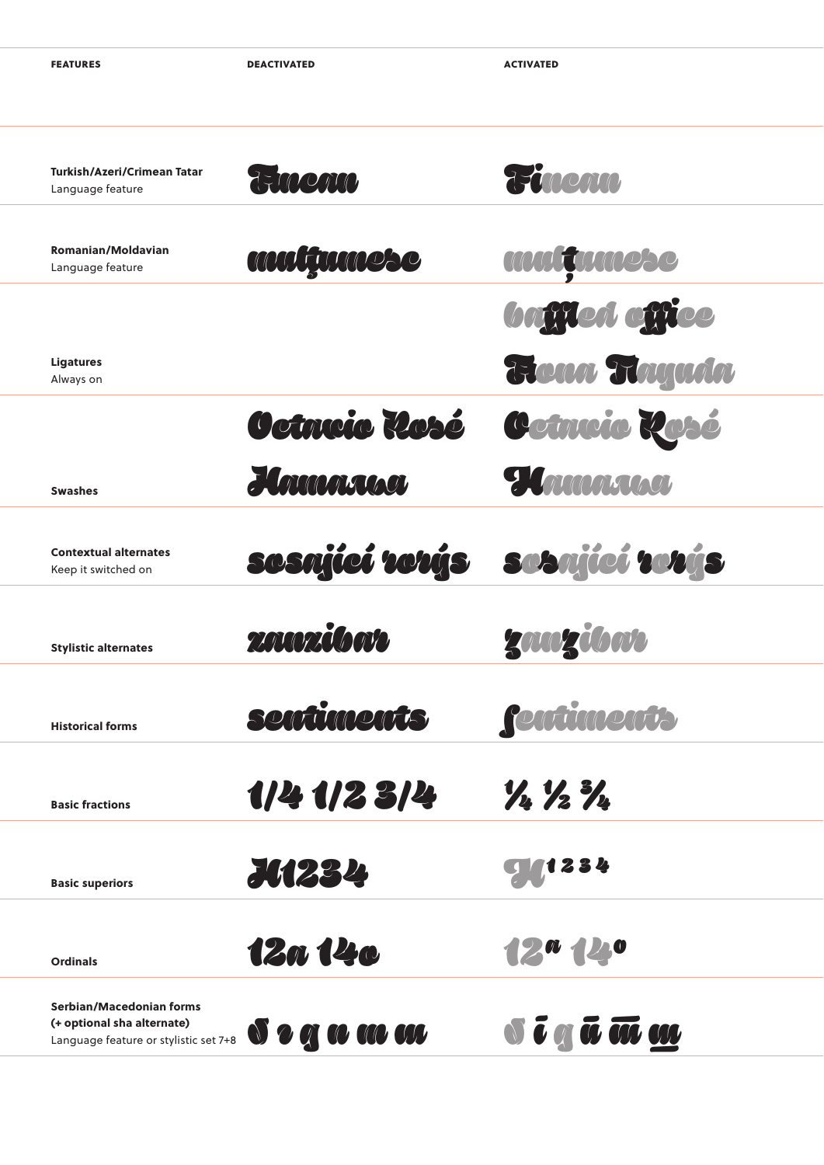**DEACTIVATED** 

**ACTIVATED** 

| Turkish/Azeri/Crimean Tatar<br>Language feature                                                 | THOCALO                                     | Rinemo                                                                          |
|-------------------------------------------------------------------------------------------------|---------------------------------------------|---------------------------------------------------------------------------------|
|                                                                                                 |                                             |                                                                                 |
| <b>Romanian/Moldavian</b><br>Language feature                                                   | multumose                                   | <b>MUILTIMADSC</b>                                                              |
|                                                                                                 |                                             | <b>baffled office</b>                                                           |
| <b>Ligatures</b><br>Always on                                                                   |                                             | From Tryada                                                                     |
|                                                                                                 | Octrucio Losé                               | Cetneie Resé                                                                    |
| <b>Swashes</b>                                                                                  | Homonne                                     | <i><b>Hamarana</b></i>                                                          |
| <b>Contextual alternates</b>                                                                    | sesnjící rerýs                              | sosnjící vorýs                                                                  |
| Keep it switched on                                                                             |                                             |                                                                                 |
| <b>Stylistic alternates</b>                                                                     | <b>ZAKOZILOWE</b>                           | zanzibar                                                                        |
| <b>Historical forms</b>                                                                         | <b>sontimonts</b>                           | <b>Pontinnonty</b>                                                              |
|                                                                                                 | 114 112 314                                 | $\frac{1}{2} \frac{1}{2} \frac{1}{2}$                                           |
| <b>Basic fractions</b>                                                                          |                                             |                                                                                 |
| <b>Basic superiors</b>                                                                          | <b>JA234</b>                                | 1234                                                                            |
|                                                                                                 | 12a 14c                                     | 12 <sup>a</sup> 12 <sup>o</sup>                                                 |
| <b>Ordinals</b>                                                                                 |                                             |                                                                                 |
| Serbian/Macedonian forms<br>(+ optional sha alternate)<br>Language feature or stylistic set 7+8 | $\boldsymbol{0}$ o q $\boldsymbol{w}$ as as | $\overline{\mathbf{v}}$ and $\overline{\mathbf{w}}$ and $\overline{\mathbf{w}}$ |